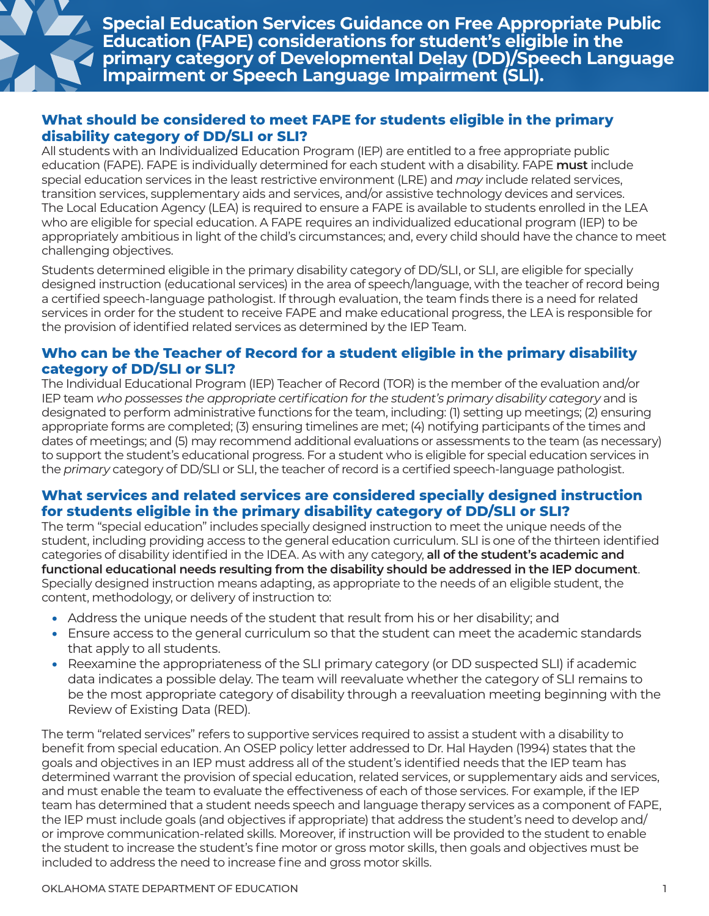

**Special Education Services Guidance on Free Appropriate Public Education (FAPE) considerations for student's eligible in the primary category of Developmental Delay (DD)/Speech Language Impairment or Speech Language Impairment (SLI).** 

## **What should be considered to meet FAPE for students eligible in the primary disability category of DD/SLI or SLI?**

All students with an Individualized Education Program (IEP) are entitled to a free appropriate public education (FAPE). FAPE is individually determined for each student with a disability. FAPE **must** include special education services in the least restrictive environment (LRE) and *may* include related services, transition services, supplementary aids and services, and/or assistive technology devices and services. The Local Education Agency (LEA) is required to ensure a FAPE is available to students enrolled in the LEA who are eligible for special education. A FAPE requires an individualized educational program (IEP) to be appropriately ambitious in light of the child's circumstances; and, every child should have the chance to meet challenging objectives.

Students determined eligible in the primary disability category of DD/SLI, or SLI, are eligible for specially designed instruction (educational services) in the area of speech/language, with the teacher of record being a certified speech-language pathologist. If through evaluation, the team finds there is a need for related services in order for the student to receive FAPE and make educational progress, the LEA is responsible for the provision of identified related services as determined by the IEP Team.

### **Who can be the Teacher of Record for a student eligible in the primary disability category of DD/SLI or SLI?**

The Individual Educational Program (IEP) Teacher of Record (TOR) is the member of the evaluation and/or IEP team *who possesses the appropriate certification for the student's primary disability category* and is designated to perform administrative functions for the team, including: (1) setting up meetings; (2) ensuring appropriate forms are completed; (3) ensuring timelines are met; (4) notifying participants of the times and dates of meetings; and (5) may recommend additional evaluations or assessments to the team (as necessary) to support the student's educational progress. For a student who is eligible for special education services in the *primary* category of DD/SLI or SLI, the teacher of record is a certified speech-language pathologist.

# **What services and related services are considered specially designed instruction for students eligible in the primary disability category of DD/SLI or SLI?**

The term "special education" includes specially designed instruction to meet the unique needs of the student, including providing access to the general education curriculum. SLI is one of the thirteen identified categories of disability identified in the IDEA. As with any category, **all of the student's academic and functional educational needs resulting from the disability should be addressed in the IEP document**. Specially designed instruction means adapting, as appropriate to the needs of an eligible student, the content, methodology, or delivery of instruction to:

- Address the unique needs of the student that result from his or her disability; and
- Ensure access to the general curriculum so that the student can meet the academic standards that apply to all students.
- Reexamine the appropriateness of the SLI primary category (or DD suspected SLI) if academic data indicates a possible delay. The team will reevaluate whether the category of SLI remains to be the most appropriate category of disability through a reevaluation meeting beginning with the Review of Existing Data (RED).

The term "related services" refers to supportive services required to assist a student with a disability to benefit from special education. An OSEP policy letter addressed to Dr. Hal Hayden (1994) states that the goals and objectives in an IEP must address all of the student's identified needs that the IEP team has determined warrant the provision of special education, related services, or supplementary aids and services, and must enable the team to evaluate the effectiveness of each of those services. For example, if the IEP team has determined that a student needs speech and language therapy services as a component of FAPE, the IEP must include goals (and objectives if appropriate) that address the student's need to develop and/ or improve communication-related skills. Moreover, if instruction will be provided to the student to enable the student to increase the student's fine motor or gross motor skills, then goals and objectives must be included to address the need to increase fine and gross motor skills.